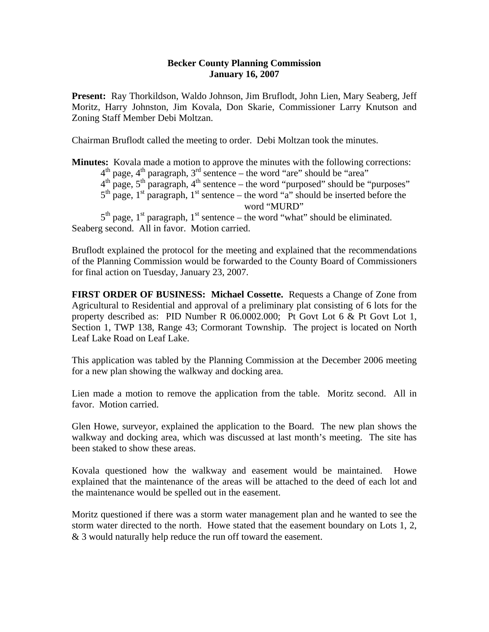## **Becker County Planning Commission January 16, 2007**

**Present:** Ray Thorkildson, Waldo Johnson, Jim Bruflodt, John Lien, Mary Seaberg, Jeff Moritz, Harry Johnston, Jim Kovala, Don Skarie, Commissioner Larry Knutson and Zoning Staff Member Debi Moltzan.

Chairman Bruflodt called the meeting to order. Debi Moltzan took the minutes.

**Minutes:** Kovala made a motion to approve the minutes with the following corrections:  $4<sup>th</sup>$  page,  $4<sup>th</sup>$  paragraph,  $3<sup>rd</sup>$  sentence – the word "are" should be "area"  $4<sup>th</sup>$  page,  $5<sup>th</sup>$  paragraph,  $4<sup>th</sup>$  sentence – the word "purposed" should be "purposes"  $5<sup>th</sup>$  page, 1<sup>st</sup> paragraph, 1<sup>st</sup> sentence – the word "a" should be inserted before the word "MURD"  $5<sup>th</sup>$  page, 1<sup>st</sup> paragraph, 1<sup>st</sup> sentence – the word "what" should be eliminated. Seaberg second. All in favor. Motion carried.

Bruflodt explained the protocol for the meeting and explained that the recommendations of the Planning Commission would be forwarded to the County Board of Commissioners for final action on Tuesday, January 23, 2007.

**FIRST ORDER OF BUSINESS: Michael Cossette.** Requests a Change of Zone from Agricultural to Residential and approval of a preliminary plat consisting of 6 lots for the property described as: PID Number R 06.0002.000; Pt Govt Lot 6 & Pt Govt Lot 1, Section 1, TWP 138, Range 43; Cormorant Township. The project is located on North Leaf Lake Road on Leaf Lake.

This application was tabled by the Planning Commission at the December 2006 meeting for a new plan showing the walkway and docking area.

Lien made a motion to remove the application from the table. Moritz second. All in favor. Motion carried.

Glen Howe, surveyor, explained the application to the Board. The new plan shows the walkway and docking area, which was discussed at last month's meeting. The site has been staked to show these areas.

Kovala questioned how the walkway and easement would be maintained. Howe explained that the maintenance of the areas will be attached to the deed of each lot and the maintenance would be spelled out in the easement.

Moritz questioned if there was a storm water management plan and he wanted to see the storm water directed to the north. Howe stated that the easement boundary on Lots 1, 2, & 3 would naturally help reduce the run off toward the easement.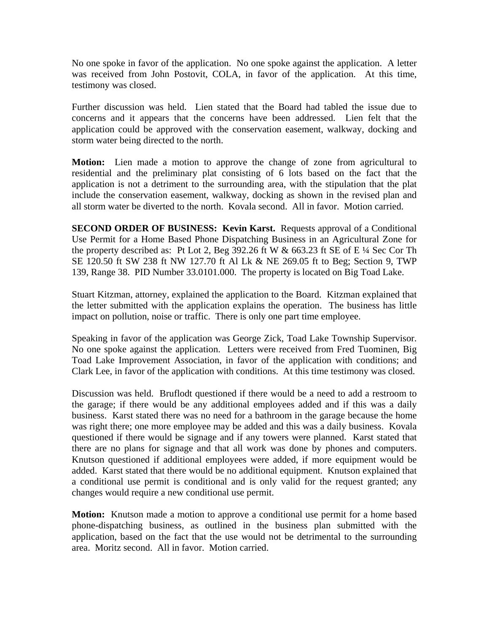No one spoke in favor of the application. No one spoke against the application. A letter was received from John Postovit, COLA, in favor of the application. At this time, testimony was closed.

Further discussion was held. Lien stated that the Board had tabled the issue due to concerns and it appears that the concerns have been addressed. Lien felt that the application could be approved with the conservation easement, walkway, docking and storm water being directed to the north.

**Motion:** Lien made a motion to approve the change of zone from agricultural to residential and the preliminary plat consisting of 6 lots based on the fact that the application is not a detriment to the surrounding area, with the stipulation that the plat include the conservation easement, walkway, docking as shown in the revised plan and all storm water be diverted to the north. Kovala second. All in favor. Motion carried.

**SECOND ORDER OF BUSINESS: Kevin Karst.** Requests approval of a Conditional Use Permit for a Home Based Phone Dispatching Business in an Agricultural Zone for the property described as: Pt Lot 2, Beg 392.26 ft W  $& 663.23$  ft SE of E  $\frac{1}{4}$  Sec Cor Th SE 120.50 ft SW 238 ft NW 127.70 ft Al Lk & NE 269.05 ft to Beg; Section 9, TWP 139, Range 38. PID Number 33.0101.000. The property is located on Big Toad Lake.

Stuart Kitzman, attorney, explained the application to the Board. Kitzman explained that the letter submitted with the application explains the operation. The business has little impact on pollution, noise or traffic. There is only one part time employee.

Speaking in favor of the application was George Zick, Toad Lake Township Supervisor. No one spoke against the application. Letters were received from Fred Tuominen, Big Toad Lake Improvement Association, in favor of the application with conditions; and Clark Lee, in favor of the application with conditions. At this time testimony was closed.

Discussion was held. Bruflodt questioned if there would be a need to add a restroom to the garage; if there would be any additional employees added and if this was a daily business. Karst stated there was no need for a bathroom in the garage because the home was right there; one more employee may be added and this was a daily business. Kovala questioned if there would be signage and if any towers were planned. Karst stated that there are no plans for signage and that all work was done by phones and computers. Knutson questioned if additional employees were added, if more equipment would be added. Karst stated that there would be no additional equipment. Knutson explained that a conditional use permit is conditional and is only valid for the request granted; any changes would require a new conditional use permit.

**Motion:** Knutson made a motion to approve a conditional use permit for a home based phone-dispatching business, as outlined in the business plan submitted with the application, based on the fact that the use would not be detrimental to the surrounding area. Moritz second. All in favor. Motion carried.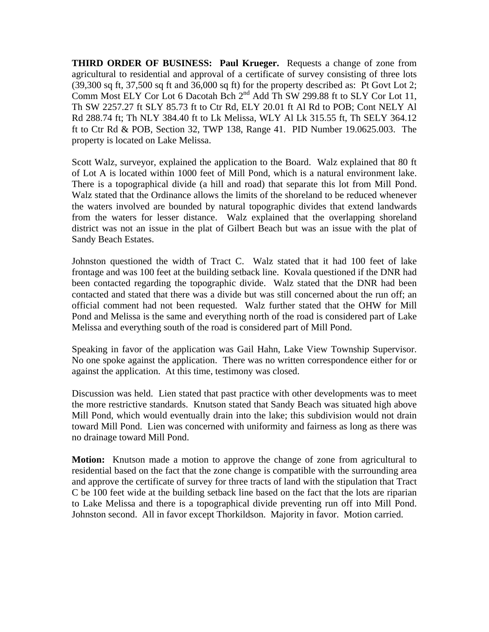**THIRD ORDER OF BUSINESS: Paul Krueger.** Requests a change of zone from agricultural to residential and approval of a certificate of survey consisting of three lots (39,300 sq ft, 37,500 sq ft and 36,000 sq ft) for the property described as: Pt Govt Lot 2; Comm Most ELY Cor Lot 6 Dacotah Bch 2<sup>nd</sup> Add Th SW 299.88 ft to SLY Cor Lot 11, Th SW 2257.27 ft SLY 85.73 ft to Ctr Rd, ELY 20.01 ft Al Rd to POB; Cont NELY Al Rd 288.74 ft; Th NLY 384.40 ft to Lk Melissa, WLY Al Lk 315.55 ft, Th SELY 364.12 ft to Ctr Rd & POB, Section 32, TWP 138, Range 41. PID Number 19.0625.003. The property is located on Lake Melissa.

Scott Walz, surveyor, explained the application to the Board. Walz explained that 80 ft of Lot A is located within 1000 feet of Mill Pond, which is a natural environment lake. There is a topographical divide (a hill and road) that separate this lot from Mill Pond. Walz stated that the Ordinance allows the limits of the shoreland to be reduced whenever the waters involved are bounded by natural topographic divides that extend landwards from the waters for lesser distance. Walz explained that the overlapping shoreland district was not an issue in the plat of Gilbert Beach but was an issue with the plat of Sandy Beach Estates.

Johnston questioned the width of Tract C. Walz stated that it had 100 feet of lake frontage and was 100 feet at the building setback line. Kovala questioned if the DNR had been contacted regarding the topographic divide. Walz stated that the DNR had been contacted and stated that there was a divide but was still concerned about the run off; an official comment had not been requested. Walz further stated that the OHW for Mill Pond and Melissa is the same and everything north of the road is considered part of Lake Melissa and everything south of the road is considered part of Mill Pond.

Speaking in favor of the application was Gail Hahn, Lake View Township Supervisor. No one spoke against the application. There was no written correspondence either for or against the application. At this time, testimony was closed.

Discussion was held. Lien stated that past practice with other developments was to meet the more restrictive standards. Knutson stated that Sandy Beach was situated high above Mill Pond, which would eventually drain into the lake; this subdivision would not drain toward Mill Pond. Lien was concerned with uniformity and fairness as long as there was no drainage toward Mill Pond.

**Motion:** Knutson made a motion to approve the change of zone from agricultural to residential based on the fact that the zone change is compatible with the surrounding area and approve the certificate of survey for three tracts of land with the stipulation that Tract C be 100 feet wide at the building setback line based on the fact that the lots are riparian to Lake Melissa and there is a topographical divide preventing run off into Mill Pond. Johnston second. All in favor except Thorkildson. Majority in favor. Motion carried.